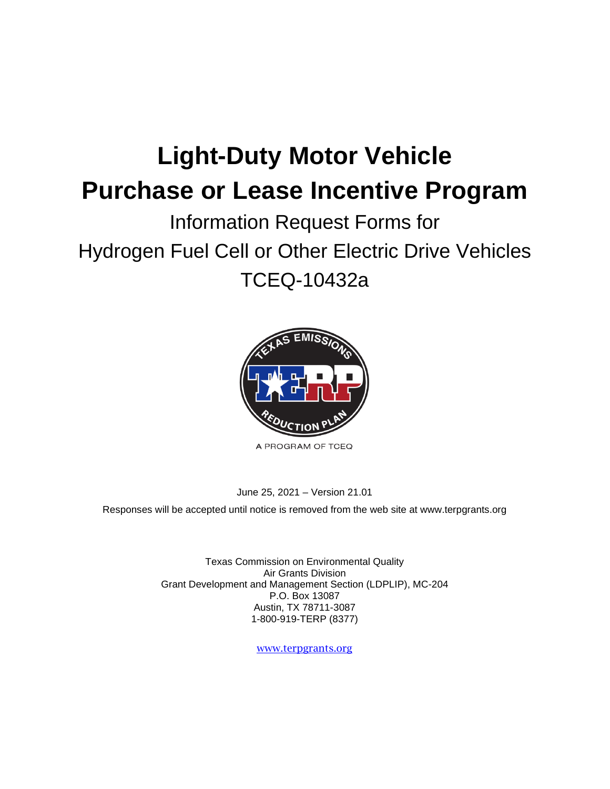# **Light-Duty Motor Vehicle Purchase or Lease Incentive Program**

## Information Request Forms for Hydrogen Fuel Cell or Other Electric Drive Vehicles TCEQ-10432a



A PROGRAM OF TCEQ

#### June 25, 2021 – Version 21.01

Responses will be accepted until notice is removed from the web site at [www.terpgrants.org](http://www.terpgrants.org/) 

Texas Commission on Environmental Quality Air Grants Division Grant Development and Management Section (LDPLIP), MC-204 P.O. Box 13087 Austin, TX 78711-3087 1-800-919-TERP (8377)

[www.terpgrants.org](http://www.terpgrants.org/)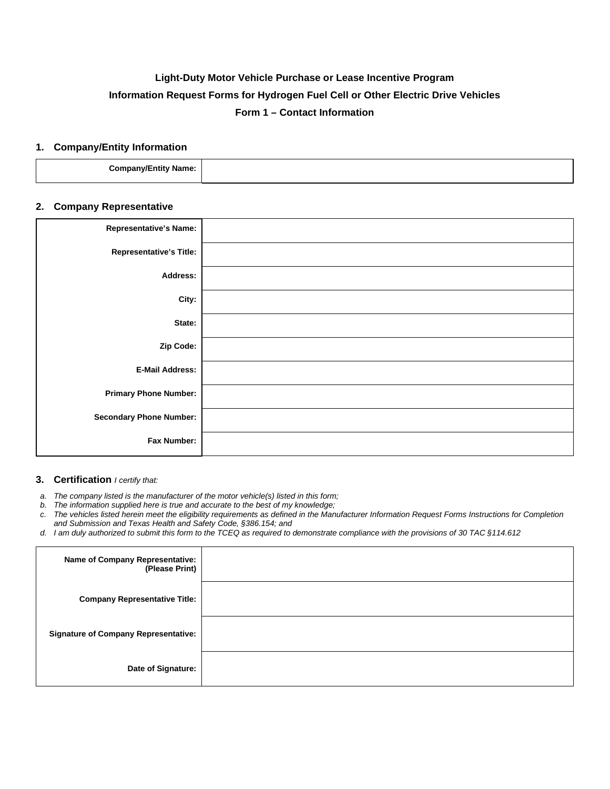### **Light-Duty Motor Vehicle Purchase or Lease Incentive Program Information Request Forms for Hydrogen Fuel Cell or Other Electric Drive Vehicles Form 1 – Contact Information**

#### **1. Company/Entity Information**

| .<br>ıme:<br>-------<br>$  -$ |  |
|-------------------------------|--|
|                               |  |

#### **2. Company Representative**

| <b>Representative's Name:</b>  |  |
|--------------------------------|--|
| <b>Representative's Title:</b> |  |
| <b>Address:</b>                |  |
| City:                          |  |
| State:                         |  |
| Zip Code:                      |  |
| <b>E-Mail Address:</b>         |  |
| <b>Primary Phone Number:</b>   |  |
| <b>Secondary Phone Number:</b> |  |
| Fax Number:                    |  |

#### **3. Certification** *I certify that:*

*a. The company listed is the manufacturer of the motor vehicle(s) listed in this form;* 

*b. The information supplied here is true and accurate to the best of my knowledge;* 

- *c. The vehicles listed herein meet the eligibility requirements as defined in the Manufacturer Information Request Forms Instructions for Completion and Submission and Texas Health and Safety Code, §386.154; and*
- *d. I am duly authorized to submit this form to the TCEQ as required to demonstrate compliance with the provisions of 30 TAC §114.612*

| <b>Name of Company Representative:</b><br>(Please Print) |  |
|----------------------------------------------------------|--|
| <b>Company Representative Title:</b>                     |  |
| <b>Signature of Company Representative:</b>              |  |
| Date of Signature:                                       |  |